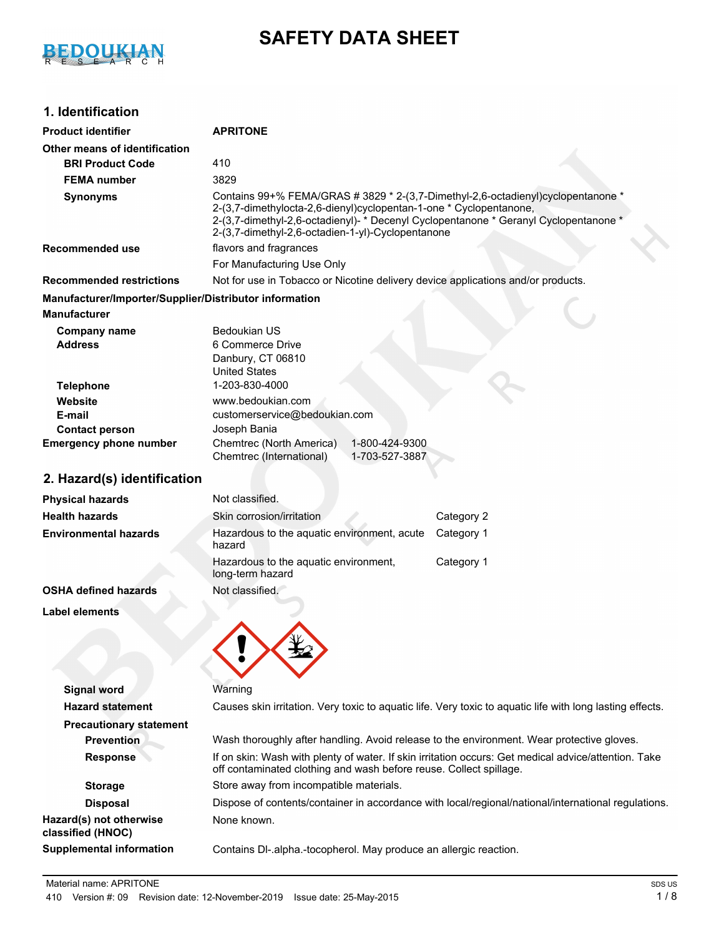

# **SAFETY DATA SHEET**

# **1. Identification**

| <b>Product identifier</b>                              | <b>APRITONE</b>                                                                                                                                                                                                                                                                                     |  |  |  |  |  |
|--------------------------------------------------------|-----------------------------------------------------------------------------------------------------------------------------------------------------------------------------------------------------------------------------------------------------------------------------------------------------|--|--|--|--|--|
| Other means of identification                          |                                                                                                                                                                                                                                                                                                     |  |  |  |  |  |
| <b>BRI Product Code</b>                                | 410                                                                                                                                                                                                                                                                                                 |  |  |  |  |  |
| <b>FEMA number</b>                                     | 3829                                                                                                                                                                                                                                                                                                |  |  |  |  |  |
| <b>Synonyms</b>                                        | Contains 99+% FEMA/GRAS # 3829 * 2-(3,7-Dimethyl-2,6-octadienyl)cyclopentanone *<br>2-(3,7-dimethylocta-2,6-dienyl)cyclopentan-1-one * Cyclopentanone,<br>2-(3,7-dimethyl-2,6-octadienyl)- * Decenyl Cyclopentanone * Geranyl Cyclopentanone *<br>2-(3,7-dimethyl-2,6-octadien-1-yl)-Cyclopentanone |  |  |  |  |  |
| <b>Recommended use</b>                                 | flavors and fragrances                                                                                                                                                                                                                                                                              |  |  |  |  |  |
|                                                        | For Manufacturing Use Only                                                                                                                                                                                                                                                                          |  |  |  |  |  |
| <b>Recommended restrictions</b>                        | Not for use in Tobacco or Nicotine delivery device applications and/or products.                                                                                                                                                                                                                    |  |  |  |  |  |
| Manufacturer/Importer/Supplier/Distributor information |                                                                                                                                                                                                                                                                                                     |  |  |  |  |  |
| <b>Manufacturer</b>                                    |                                                                                                                                                                                                                                                                                                     |  |  |  |  |  |
| <b>Company name</b><br><b>Address</b>                  | <b>Bedoukian US</b><br>6 Commerce Drive<br>Danbury, CT 06810<br><b>United States</b>                                                                                                                                                                                                                |  |  |  |  |  |
| <b>Telephone</b>                                       | 1-203-830-4000                                                                                                                                                                                                                                                                                      |  |  |  |  |  |
| Website                                                | www.bedoukian.com                                                                                                                                                                                                                                                                                   |  |  |  |  |  |
| E-mail<br><b>Contact person</b>                        | customerservice@bedoukian.com<br>Joseph Bania                                                                                                                                                                                                                                                       |  |  |  |  |  |
| <b>Emergency phone number</b>                          | Chemtrec (North America)<br>1-800-424-9300<br>Chemtrec (International)<br>1-703-527-3887                                                                                                                                                                                                            |  |  |  |  |  |
| 2. Hazard(s) identification                            |                                                                                                                                                                                                                                                                                                     |  |  |  |  |  |
| <b>Physical hazards</b>                                | Not classified.                                                                                                                                                                                                                                                                                     |  |  |  |  |  |
| <b>Health hazards</b>                                  | Category 2<br>Skin corrosion/irritation                                                                                                                                                                                                                                                             |  |  |  |  |  |
| <b>Environmental hazards</b>                           | Hazardous to the aquatic environment, acute<br>Category 1<br>hazard                                                                                                                                                                                                                                 |  |  |  |  |  |
|                                                        | Category 1<br>Hazardous to the aquatic environment,<br>long-term hazard                                                                                                                                                                                                                             |  |  |  |  |  |
| <b>OSHA defined hazards</b>                            | Not classified.                                                                                                                                                                                                                                                                                     |  |  |  |  |  |
| <b>Label elements</b>                                  |                                                                                                                                                                                                                                                                                                     |  |  |  |  |  |
|                                                        |                                                                                                                                                                                                                                                                                                     |  |  |  |  |  |
| <b>Signal word</b>                                     | Warning                                                                                                                                                                                                                                                                                             |  |  |  |  |  |
| <b>Hazard statement</b>                                | Causes skin irritation. Very toxic to aquatic life. Very toxic to aquatic life with long lasting effects.                                                                                                                                                                                           |  |  |  |  |  |
| <b>Precautionary statement</b>                         |                                                                                                                                                                                                                                                                                                     |  |  |  |  |  |
| <b>Prevention</b>                                      | Wash thoroughly after handling. Avoid release to the environment. Wear protective gloves.                                                                                                                                                                                                           |  |  |  |  |  |
| <b>Response</b>                                        | If on skin: Wash with plenty of water. If skin irritation occurs: Get medical advice/attention. Take<br>off contaminated clothing and wash before reuse. Collect spillage.                                                                                                                          |  |  |  |  |  |
| <b>Storage</b>                                         | Store away from incompatible materials.                                                                                                                                                                                                                                                             |  |  |  |  |  |
| <b>Disposal</b>                                        | Dispose of contents/container in accordance with local/regional/national/international regulations.                                                                                                                                                                                                 |  |  |  |  |  |
| Hazard(s) not otherwise<br>classified (HNOC)           | None known.                                                                                                                                                                                                                                                                                         |  |  |  |  |  |
| <b>Supplemental information</b>                        | Contains DI-.alpha.-tocopherol. May produce an allergic reaction.                                                                                                                                                                                                                                   |  |  |  |  |  |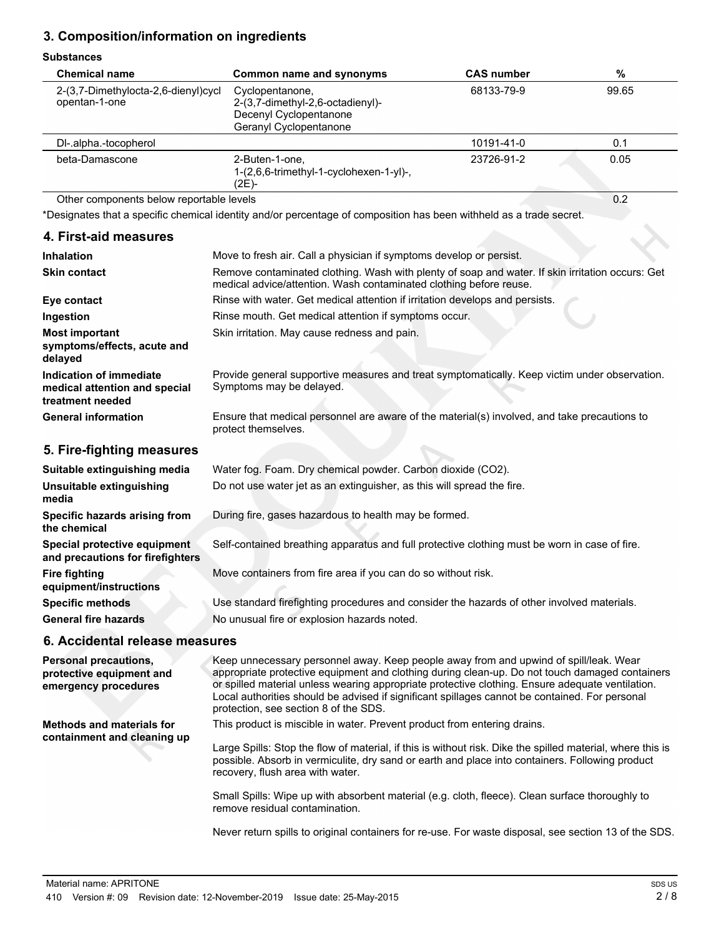## **3. Composition/information on ingredients**

#### **Substances**

| งนมจเดแบบอ                                                                   |                                                                                                                                                                        |                   |       |  |  |
|------------------------------------------------------------------------------|------------------------------------------------------------------------------------------------------------------------------------------------------------------------|-------------------|-------|--|--|
| <b>Chemical name</b>                                                         | Common name and synonyms                                                                                                                                               | <b>CAS number</b> | %     |  |  |
| 2-(3,7-Dimethylocta-2,6-dienyl)cycl<br>opentan-1-one                         | Cyclopentanone,<br>2-(3,7-dimethyl-2,6-octadienyl)-<br>Decenyl Cyclopentanone<br>Geranyl Cyclopentanone                                                                | 68133-79-9        | 99.65 |  |  |
| DI-.alpha.-tocopherol                                                        |                                                                                                                                                                        | 10191-41-0        | 0.1   |  |  |
| beta-Damascone                                                               | 2-Buten-1-one.<br>1-(2,6,6-trimethyl-1-cyclohexen-1-yl)-,<br>(2E)-                                                                                                     | 23726-91-2        | 0.05  |  |  |
| Other components below reportable levels                                     |                                                                                                                                                                        |                   | 0.2   |  |  |
|                                                                              | *Designates that a specific chemical identity and/or percentage of composition has been withheld as a trade secret.                                                    |                   |       |  |  |
| 4. First-aid measures                                                        |                                                                                                                                                                        |                   |       |  |  |
| <b>Inhalation</b>                                                            | Move to fresh air. Call a physician if symptoms develop or persist.                                                                                                    |                   |       |  |  |
| <b>Skin contact</b>                                                          | Remove contaminated clothing. Wash with plenty of soap and water. If skin irritation occurs: Get<br>medical advice/attention. Wash contaminated clothing before reuse. |                   |       |  |  |
| Eye contact                                                                  | Rinse with water. Get medical attention if irritation develops and persists.                                                                                           |                   |       |  |  |
| Ingestion                                                                    | Rinse mouth. Get medical attention if symptoms occur.                                                                                                                  |                   |       |  |  |
| <b>Most important</b><br>symptoms/effects, acute and<br>delayed              | Skin irritation. May cause redness and pain.                                                                                                                           |                   |       |  |  |
| Indication of immediate<br>medical attention and special<br>treatment needed | Provide general supportive measures and treat symptomatically. Keep victim under observation.<br>Symptoms may be delayed.                                              |                   |       |  |  |
| <b>General information</b>                                                   | Ensure that medical personnel are aware of the material(s) involved, and take precautions to<br>protect themselves.                                                    |                   |       |  |  |
| 5. Fire-fighting measures                                                    |                                                                                                                                                                        |                   |       |  |  |

| Suitable extinguishing media                                     | Water fog. Foam. Dry chemical powder. Carbon dioxide (CO2).                                   |
|------------------------------------------------------------------|-----------------------------------------------------------------------------------------------|
| Unsuitable extinguishing<br>media                                | Do not use water jet as an extinguisher, as this will spread the fire.                        |
| Specific hazards arising from<br>the chemical                    | During fire, gases hazardous to health may be formed.                                         |
| Special protective equipment<br>and precautions for firefighters | Self-contained breathing apparatus and full protective clothing must be worn in case of fire. |
| <b>Fire fighting</b><br>equipment/instructions                   | Move containers from fire area if you can do so without risk.                                 |
| <b>Specific methods</b>                                          | Use standard firefighting procedures and consider the hazards of other involved materials.    |
| <b>General fire hazards</b>                                      | No unusual fire or explosion hazards noted.                                                   |
| 6. Accidental release measures                                   |                                                                                               |

Keep unnecessary personnel away. Keep people away from and upwind of spill/leak. Wear appropriate protective equipment and clothing during clean-up. Do not touch damaged containers or spilled material unless wearing appropriate protective clothing. Ensure adequate ventilation. Local authorities should be advised if significant spillages cannot be contained. For personal protection, see section 8 of the SDS. **Personal precautions, protective equipment and emergency procedures** This product is miscible in water. Prevent product from entering drains. Large Spills: Stop the flow of material, if this is without risk. Dike the spilled material, where this is possible. Absorb in vermiculite, dry sand or earth and place into containers. Following product recovery, flush area with water. Small Spills: Wipe up with absorbent material (e.g. cloth, fleece). Clean surface thoroughly to remove residual contamination. Never return spills to original containers for re-use. For waste disposal, see section 13 of the SDS. **Methods and materials for containment and cleaning up**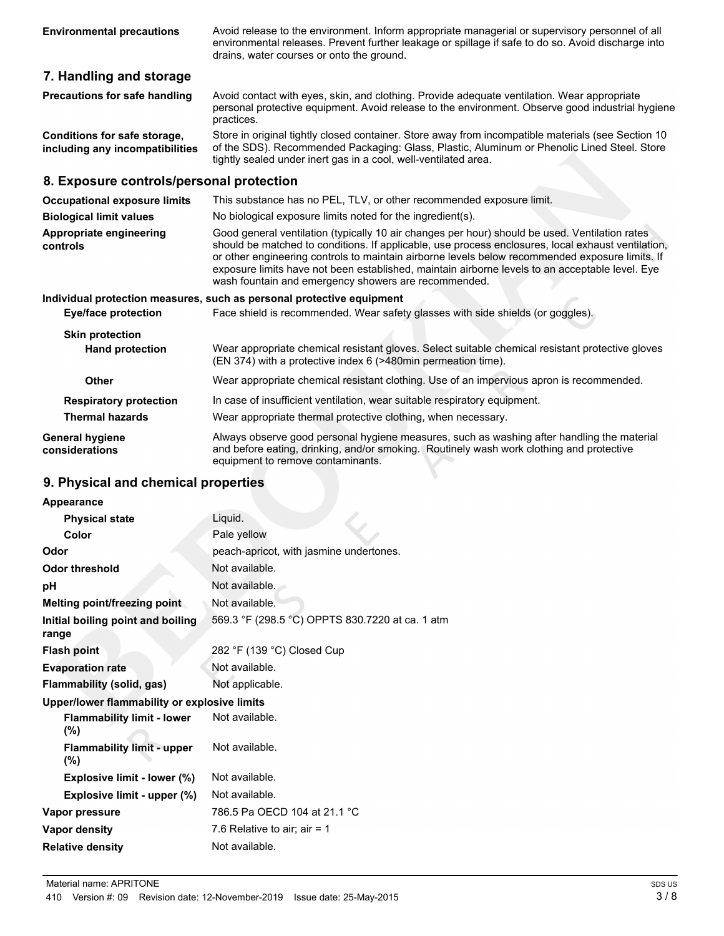Avoid release to the environment. Inform appropriate managerial or supervisory personnel of all environmental releases. Prevent further leakage or spillage if safe to do so. Avoid discharge into drains, water courses or onto the ground.

## **7. Handling and storage**

| <b>Precautions for safe handling</b> | Avoid contact with eyes, skin, and clothing. Provide adequate ventilation. Wear appropriate<br>personal protective equipment. Avoid release to the environment. Observe good industrial hygiene |
|--------------------------------------|-------------------------------------------------------------------------------------------------------------------------------------------------------------------------------------------------|
|                                      | practices.                                                                                                                                                                                      |
| Conditions for safe storage,         | Store in original tightly closed container. Store away from incompatible materials (see Section 10                                                                                              |

of the SDS). Recommended Packaging: Glass, Plastic, Aluminum or Phenolic Lined Steel. Store tightly sealed under inert gas in a cool, well-ventilated area. **including any incompatibilities**

#### **8. Exposure controls/personal protection**

| <b>Occupational exposure limits</b>                     | This substance has no PEL, TLV, or other recommended exposure limit.                                                                                                                                                                                                                                                                                                                                                                                               |  |  |  |
|---------------------------------------------------------|--------------------------------------------------------------------------------------------------------------------------------------------------------------------------------------------------------------------------------------------------------------------------------------------------------------------------------------------------------------------------------------------------------------------------------------------------------------------|--|--|--|
| <b>Biological limit values</b>                          | No biological exposure limits noted for the ingredient(s).                                                                                                                                                                                                                                                                                                                                                                                                         |  |  |  |
| Appropriate engineering<br>controls                     | Good general ventilation (typically 10 air changes per hour) should be used. Ventilation rates<br>should be matched to conditions. If applicable, use process enclosures, local exhaust ventilation,<br>or other engineering controls to maintain airborne levels below recommended exposure limits. If<br>exposure limits have not been established, maintain airborne levels to an acceptable level. Eye<br>wash fountain and emergency showers are recommended. |  |  |  |
|                                                         | Individual protection measures, such as personal protective equipment                                                                                                                                                                                                                                                                                                                                                                                              |  |  |  |
| <b>Eye/face protection</b>                              | Face shield is recommended. Wear safety glasses with side shields (or goggles).                                                                                                                                                                                                                                                                                                                                                                                    |  |  |  |
| <b>Skin protection</b><br><b>Hand protection</b>        | Wear appropriate chemical resistant gloves. Select suitable chemical resistant protective gloves<br>(EN 374) with a protective index 6 (>480min permeation time).                                                                                                                                                                                                                                                                                                  |  |  |  |
| Other                                                   | Wear appropriate chemical resistant clothing. Use of an impervious apron is recommended.                                                                                                                                                                                                                                                                                                                                                                           |  |  |  |
| <b>Respiratory protection</b><br><b>Thermal hazards</b> | In case of insufficient ventilation, wear suitable respiratory equipment.<br>Wear appropriate thermal protective clothing, when necessary.                                                                                                                                                                                                                                                                                                                         |  |  |  |
| <b>General hygiene</b><br>considerations                | Always observe good personal hygiene measures, such as washing after handling the material<br>and before eating, drinking, and/or smoking. Routinely wash work clothing and protective<br>equipment to remove contaminants.                                                                                                                                                                                                                                        |  |  |  |

# **9. Physical and chemical properties**

| Appearance                                   |                                                 |
|----------------------------------------------|-------------------------------------------------|
| <b>Physical state</b>                        | Liquid.                                         |
| Color                                        | Pale yellow                                     |
| Odor                                         | peach-apricot, with jasmine undertones.         |
| <b>Odor threshold</b>                        | Not available.                                  |
| рH                                           | Not available.                                  |
| Melting point/freezing point                 | Not available.                                  |
| Initial boiling point and boiling<br>range   | 569.3 °F (298.5 °C) OPPTS 830.7220 at ca. 1 atm |
| <b>Flash point</b>                           | 282 °F (139 °C) Closed Cup                      |
| <b>Evaporation rate</b>                      | Not available.                                  |
| <b>Flammability (solid, gas)</b>             | Not applicable.                                 |
| Upper/lower flammability or explosive limits |                                                 |
| <b>Flammability limit - lower</b><br>$(\%)$  | Not available.                                  |
| <b>Flammability limit - upper</b><br>$(\%)$  | Not available.                                  |
| Explosive limit - lower (%)                  | Not available.                                  |
| Explosive limit - upper (%)                  | Not available.                                  |
| Vapor pressure                               | 786.5 Pa OECD 104 at 21.1 °C                    |
| Vapor density                                | 7.6 Relative to air; air = 1                    |
| <b>Relative density</b>                      | Not available.                                  |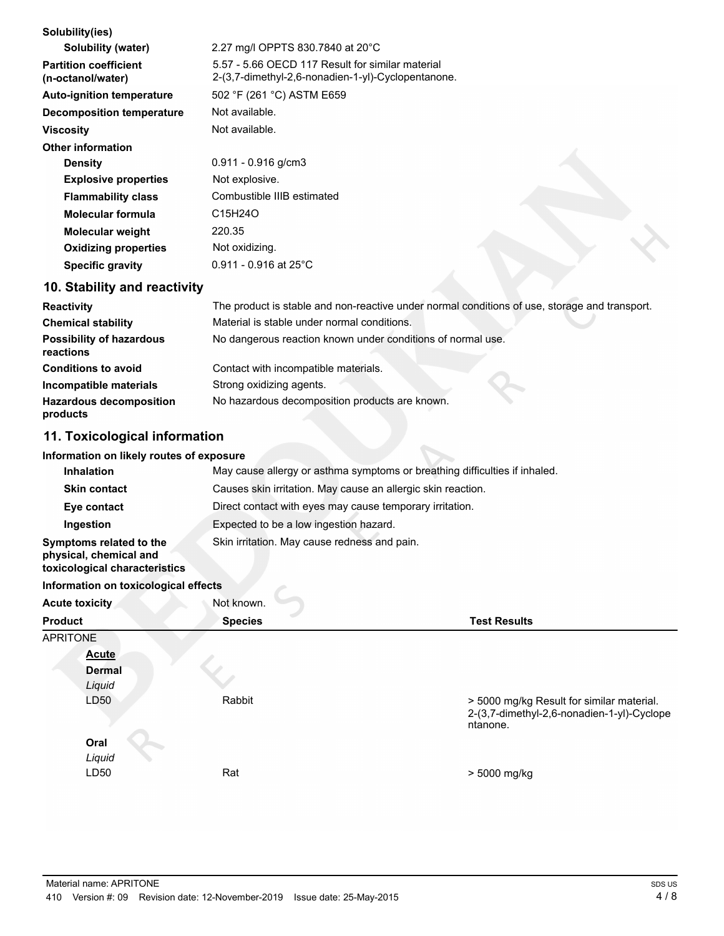| Solubility(ies)                                   |                                                                                                        |  |  |
|---------------------------------------------------|--------------------------------------------------------------------------------------------------------|--|--|
| Solubility (water)                                | 2.27 mg/l OPPTS 830.7840 at 20°C                                                                       |  |  |
| <b>Partition coefficient</b><br>(n-octanol/water) | 5.57 - 5.66 OECD 117 Result for similar material<br>2-(3,7-dimethyl-2,6-nonadien-1-yl)-Cyclopentanone. |  |  |
| <b>Auto-ignition temperature</b>                  | 502 °F (261 °C) ASTM E659                                                                              |  |  |
| <b>Decomposition temperature</b>                  | Not available.                                                                                         |  |  |
| <b>Viscosity</b>                                  | Not available.                                                                                         |  |  |
| <b>Other information</b>                          |                                                                                                        |  |  |
| <b>Density</b>                                    | $0.911 - 0.916$ g/cm3                                                                                  |  |  |
| <b>Explosive properties</b>                       | Not explosive.                                                                                         |  |  |
| <b>Flammability class</b>                         | Combustible IIIB estimated                                                                             |  |  |
| Molecular formula                                 | C15H24O                                                                                                |  |  |
| <b>Molecular weight</b>                           | 220.35                                                                                                 |  |  |
| <b>Oxidizing properties</b>                       | Not oxidizing.                                                                                         |  |  |
| <b>Specific gravity</b>                           | $0.911 - 0.916$ at 25°C                                                                                |  |  |
| 10. Stability and reactivity                      |                                                                                                        |  |  |
| <b>Reactivity</b>                                 | The product is stable and non-reactive under normal conditions of use, storage and transport.          |  |  |

| Reactivity                                   | The product is stable and non-reactive under normal conditions of use, storage and transport. |
|----------------------------------------------|-----------------------------------------------------------------------------------------------|
| <b>Chemical stability</b>                    | Material is stable under normal conditions.                                                   |
| <b>Possibility of hazardous</b><br>reactions | No dangerous reaction known under conditions of normal use.                                   |
| <b>Conditions to avoid</b>                   | Contact with incompatible materials.                                                          |
| Incompatible materials                       | Strong oxidizing agents.                                                                      |
| <b>Hazardous decomposition</b><br>products   | No hazardous decomposition products are known.                                                |

# **11. Toxicological information**

#### **Information on likely routes of exposure**

| <b>Inhalation</b>                                                                  | May cause allergy or asthma symptoms or breathing difficulties if inhaled. |
|------------------------------------------------------------------------------------|----------------------------------------------------------------------------|
| <b>Skin contact</b>                                                                | Causes skin irritation. May cause an allergic skin reaction.               |
| Eye contact                                                                        | Direct contact with eyes may cause temporary irritation.                   |
| Ingestion                                                                          | Expected to be a low ingestion hazard.                                     |
| Symptoms related to the<br>physical, chemical and<br>toxicological characteristics | Skin irritation. May cause redness and pain.                               |

#### **Information on toxicological effects**

| Acute toxicity  | Not known.     |                                                                                                     |
|-----------------|----------------|-----------------------------------------------------------------------------------------------------|
| <b>Product</b>  | <b>Species</b> | <b>Test Results</b>                                                                                 |
| <b>APRITONE</b> |                |                                                                                                     |
| <b>Acute</b>    |                |                                                                                                     |
| <b>Dermal</b>   |                |                                                                                                     |
| Liquid          |                |                                                                                                     |
| LD50            | Rabbit         | > 5000 mg/kg Result for similar material.<br>2-(3,7-dimethyl-2,6-nonadien-1-yl)-Cyclope<br>ntanone. |
| Oral            |                |                                                                                                     |
| Liquid          |                |                                                                                                     |
| LD50            | Rat            | > 5000 mg/kg                                                                                        |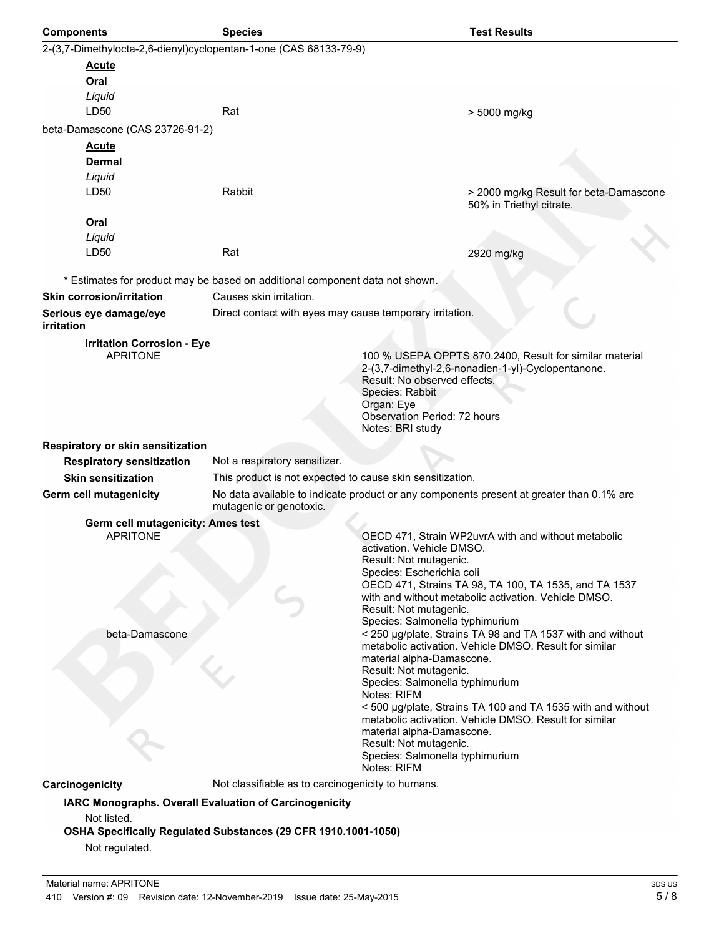| <b>Components</b>                                                 | <b>Species</b>                                                               | <b>Test Results</b>                                                                                                   |  |  |  |
|-------------------------------------------------------------------|------------------------------------------------------------------------------|-----------------------------------------------------------------------------------------------------------------------|--|--|--|
| 2-(3,7-Dimethylocta-2,6-dienyl)cyclopentan-1-one (CAS 68133-79-9) |                                                                              |                                                                                                                       |  |  |  |
| <b>Acute</b>                                                      |                                                                              |                                                                                                                       |  |  |  |
| Oral                                                              |                                                                              |                                                                                                                       |  |  |  |
| Liquid<br>LD50                                                    | Rat                                                                          | > 5000 mg/kg                                                                                                          |  |  |  |
|                                                                   |                                                                              |                                                                                                                       |  |  |  |
| beta-Damascone (CAS 23726-91-2)<br><b>Acute</b>                   |                                                                              |                                                                                                                       |  |  |  |
| <b>Dermal</b>                                                     |                                                                              |                                                                                                                       |  |  |  |
| Liquid                                                            |                                                                              |                                                                                                                       |  |  |  |
| LD50                                                              | Rabbit                                                                       | > 2000 mg/kg Result for beta-Damascone<br>50% in Triethyl citrate.                                                    |  |  |  |
| Oral                                                              |                                                                              |                                                                                                                       |  |  |  |
| Liquid                                                            |                                                                              |                                                                                                                       |  |  |  |
| LD50                                                              | Rat                                                                          | 2920 mg/kg                                                                                                            |  |  |  |
|                                                                   | * Estimates for product may be based on additional component data not shown. |                                                                                                                       |  |  |  |
| <b>Skin corrosion/irritation</b>                                  | Causes skin irritation.                                                      |                                                                                                                       |  |  |  |
| Serious eye damage/eye                                            | Direct contact with eyes may cause temporary irritation.                     |                                                                                                                       |  |  |  |
| irritation                                                        |                                                                              |                                                                                                                       |  |  |  |
| <b>Irritation Corrosion - Eye</b><br><b>APRITONE</b>              |                                                                              | 100 % USEPA OPPTS 870.2400, Result for similar material                                                               |  |  |  |
|                                                                   |                                                                              | 2-(3,7-dimethyl-2,6-nonadien-1-yl)-Cyclopentanone.                                                                    |  |  |  |
|                                                                   |                                                                              | Result: No observed effects.                                                                                          |  |  |  |
|                                                                   |                                                                              | Species: Rabbit<br>Organ: Eye                                                                                         |  |  |  |
|                                                                   |                                                                              | <b>Observation Period: 72 hours</b>                                                                                   |  |  |  |
|                                                                   |                                                                              | Notes: BRI study                                                                                                      |  |  |  |
| Respiratory or skin sensitization                                 |                                                                              |                                                                                                                       |  |  |  |
| <b>Respiratory sensitization</b><br><b>Skin sensitization</b>     | Not a respiratory sensitizer.                                                |                                                                                                                       |  |  |  |
| <b>Germ cell mutagenicity</b>                                     | This product is not expected to cause skin sensitization.                    | No data available to indicate product or any components present at greater than 0.1% are                              |  |  |  |
|                                                                   | mutagenic or genotoxic.                                                      |                                                                                                                       |  |  |  |
| Germ cell mutagenicity: Ames test                                 |                                                                              |                                                                                                                       |  |  |  |
| <b>APRITONE</b>                                                   |                                                                              | OECD 471, Strain WP2uvrA with and without metabolic<br>activation. Vehicle DMSO.                                      |  |  |  |
|                                                                   |                                                                              | Result: Not mutagenic.                                                                                                |  |  |  |
|                                                                   |                                                                              | Species: Escherichia coli                                                                                             |  |  |  |
|                                                                   |                                                                              | OECD 471, Strains TA 98, TA 100, TA 1535, and TA 1537<br>with and without metabolic activation. Vehicle DMSO.         |  |  |  |
|                                                                   |                                                                              | Result: Not mutagenic.                                                                                                |  |  |  |
| beta-Damascone                                                    |                                                                              | Species: Salmonella typhimurium<br>< 250 µg/plate, Strains TA 98 and TA 1537 with and without                         |  |  |  |
|                                                                   |                                                                              | metabolic activation. Vehicle DMSO. Result for similar                                                                |  |  |  |
|                                                                   |                                                                              | material alpha-Damascone.<br>Result: Not mutagenic.                                                                   |  |  |  |
|                                                                   |                                                                              | Species: Salmonella typhimurium                                                                                       |  |  |  |
|                                                                   |                                                                              | Notes: RIFM                                                                                                           |  |  |  |
|                                                                   |                                                                              | < 500 µg/plate, Strains TA 100 and TA 1535 with and without<br>metabolic activation. Vehicle DMSO. Result for similar |  |  |  |
|                                                                   |                                                                              | material alpha-Damascone.                                                                                             |  |  |  |
|                                                                   |                                                                              | Result: Not mutagenic.<br>Species: Salmonella typhimurium                                                             |  |  |  |
|                                                                   |                                                                              | Notes: RIFM                                                                                                           |  |  |  |
| Carcinogenicity                                                   | Not classifiable as to carcinogenicity to humans.                            |                                                                                                                       |  |  |  |
|                                                                   | IARC Monographs. Overall Evaluation of Carcinogenicity                       |                                                                                                                       |  |  |  |
| Not listed.                                                       | OSHA Specifically Regulated Substances (29 CFR 1910.1001-1050)               |                                                                                                                       |  |  |  |
| Not regulated.                                                    |                                                                              |                                                                                                                       |  |  |  |
|                                                                   |                                                                              |                                                                                                                       |  |  |  |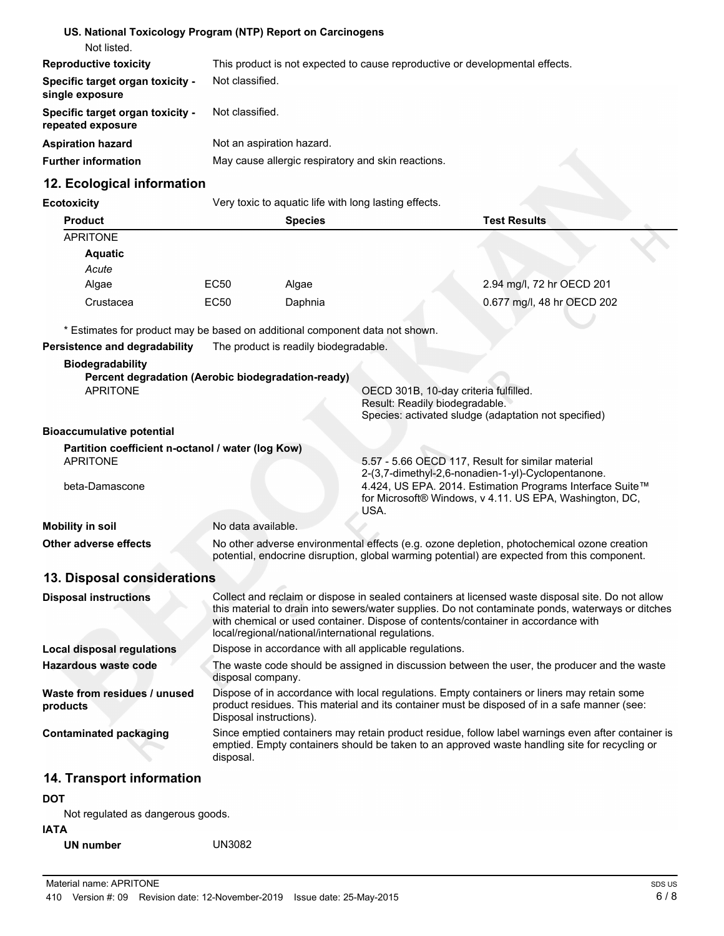| US. National Toxicology Program (NTP) Report on Carcinogens                                      |                                                                                                                                                                                            |                                                       |                                                                                   |                                                                                                                                                                                                        |
|--------------------------------------------------------------------------------------------------|--------------------------------------------------------------------------------------------------------------------------------------------------------------------------------------------|-------------------------------------------------------|-----------------------------------------------------------------------------------|--------------------------------------------------------------------------------------------------------------------------------------------------------------------------------------------------------|
| Not listed.<br><b>Reproductive toxicity</b>                                                      |                                                                                                                                                                                            |                                                       |                                                                                   |                                                                                                                                                                                                        |
| Specific target organ toxicity -<br>single exposure                                              | This product is not expected to cause reproductive or developmental effects.<br>Not classified.                                                                                            |                                                       |                                                                                   |                                                                                                                                                                                                        |
| Specific target organ toxicity -<br>repeated exposure                                            | Not classified.                                                                                                                                                                            |                                                       |                                                                                   |                                                                                                                                                                                                        |
| <b>Aspiration hazard</b>                                                                         |                                                                                                                                                                                            | Not an aspiration hazard.                             |                                                                                   |                                                                                                                                                                                                        |
| <b>Further information</b>                                                                       |                                                                                                                                                                                            |                                                       | May cause allergic respiratory and skin reactions.                                |                                                                                                                                                                                                        |
| 12. Ecological information                                                                       |                                                                                                                                                                                            |                                                       |                                                                                   |                                                                                                                                                                                                        |
| <b>Ecotoxicity</b>                                                                               |                                                                                                                                                                                            | Very toxic to aquatic life with long lasting effects. |                                                                                   |                                                                                                                                                                                                        |
| <b>Product</b>                                                                                   |                                                                                                                                                                                            | <b>Species</b>                                        |                                                                                   | <b>Test Results</b>                                                                                                                                                                                    |
| <b>APRITONE</b>                                                                                  |                                                                                                                                                                                            |                                                       |                                                                                   |                                                                                                                                                                                                        |
| <b>Aquatic</b><br>Acute                                                                          |                                                                                                                                                                                            |                                                       |                                                                                   |                                                                                                                                                                                                        |
| Algae                                                                                            | EC50                                                                                                                                                                                       | Algae                                                 |                                                                                   | 2.94 mg/l, 72 hr OECD 201                                                                                                                                                                              |
| Crustacea                                                                                        | <b>EC50</b>                                                                                                                                                                                | Daphnia                                               |                                                                                   | 0.677 mg/l, 48 hr OECD 202                                                                                                                                                                             |
|                                                                                                  |                                                                                                                                                                                            |                                                       |                                                                                   |                                                                                                                                                                                                        |
| * Estimates for product may be based on additional component data not shown.                     |                                                                                                                                                                                            |                                                       |                                                                                   |                                                                                                                                                                                                        |
| Persistence and degradability                                                                    |                                                                                                                                                                                            | The product is readily biodegradable.                 |                                                                                   |                                                                                                                                                                                                        |
| <b>Biodegradability</b><br>Percent degradation (Aerobic biodegradation-ready)<br><b>APRITONE</b> |                                                                                                                                                                                            |                                                       | OECD 301B, 10-day criteria fulfilled.<br>Result: Readily biodegradable.           | Species: activated sludge (adaptation not specified)                                                                                                                                                   |
| <b>Bioaccumulative potential</b>                                                                 |                                                                                                                                                                                            |                                                       |                                                                                   |                                                                                                                                                                                                        |
| Partition coefficient n-octanol / water (log Kow)<br><b>APRITONE</b>                             |                                                                                                                                                                                            |                                                       | 5.57 - 5.66 OECD 117, Result for similar material                                 |                                                                                                                                                                                                        |
| beta-Damascone                                                                                   |                                                                                                                                                                                            |                                                       | USA.                                                                              | 2-(3,7-dimethyl-2,6-nonadien-1-yl)-Cyclopentanone.<br>4.424, US EPA. 2014. Estimation Programs Interface Suite™<br>for Microsoft® Windows, v 4.11. US EPA, Washington, DC,                             |
| <b>Mobility in soil</b>                                                                          | No data available.                                                                                                                                                                         |                                                       |                                                                                   |                                                                                                                                                                                                        |
| Other adverse effects                                                                            | No other adverse environmental effects (e.g. ozone depletion, photochemical ozone creation<br>potential, endocrine disruption, global warming potential) are expected from this component. |                                                       |                                                                                   |                                                                                                                                                                                                        |
| 13. Disposal considerations                                                                      |                                                                                                                                                                                            |                                                       |                                                                                   |                                                                                                                                                                                                        |
| <b>Disposal instructions</b>                                                                     |                                                                                                                                                                                            | local/regional/national/international regulations.    | with chemical or used container. Dispose of contents/container in accordance with | Collect and reclaim or dispose in sealed containers at licensed waste disposal site. Do not allow<br>this material to drain into sewers/water supplies. Do not contaminate ponds, waterways or ditches |
| <b>Local disposal regulations</b>                                                                |                                                                                                                                                                                            |                                                       | Dispose in accordance with all applicable regulations.                            |                                                                                                                                                                                                        |
| <b>Hazardous waste code</b>                                                                      | The waste code should be assigned in discussion between the user, the producer and the waste<br>disposal company.                                                                          |                                                       |                                                                                   |                                                                                                                                                                                                        |
| Waste from residues / unused<br>products                                                         | Disposal instructions).                                                                                                                                                                    |                                                       |                                                                                   | Dispose of in accordance with local regulations. Empty containers or liners may retain some<br>product residues. This material and its container must be disposed of in a safe manner (see:            |
| <b>Contaminated packaging</b>                                                                    | disposal.                                                                                                                                                                                  |                                                       |                                                                                   | Since emptied containers may retain product residue, follow label warnings even after container is<br>emptied. Empty containers should be taken to an approved waste handling site for recycling or    |
| 14. Transport information                                                                        |                                                                                                                                                                                            |                                                       |                                                                                   |                                                                                                                                                                                                        |

**DOT**

Not regulated as dangerous goods.

**IATA**

**UN number** UN3082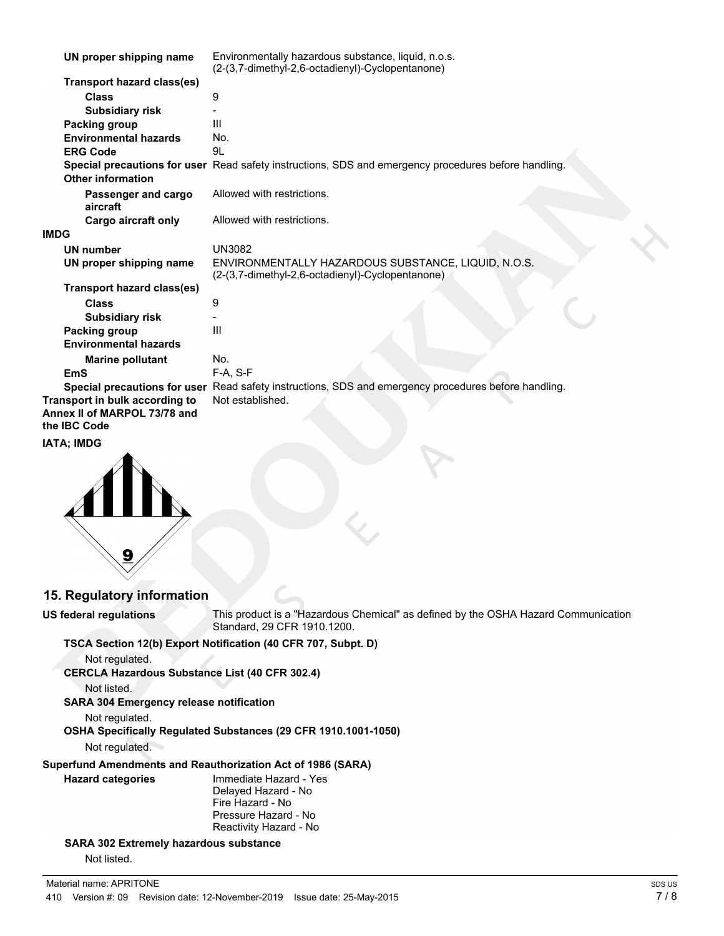| UN proper shipping name                                                               | Environmentally hazardous substance, liquid, n.o.s.<br>(2-(3,7-dimethyl-2,6-octadienyl)-Cyclopentanone) |
|---------------------------------------------------------------------------------------|---------------------------------------------------------------------------------------------------------|
| <b>Transport hazard class(es)</b>                                                     |                                                                                                         |
| <b>Class</b>                                                                          | 9                                                                                                       |
| <b>Subsidiary risk</b>                                                                |                                                                                                         |
| Packing group                                                                         | III                                                                                                     |
| <b>Environmental hazards</b>                                                          | No.                                                                                                     |
| <b>ERG Code</b>                                                                       | 9L                                                                                                      |
| <b>Other information</b>                                                              | Special precautions for user Read safety instructions, SDS and emergency procedures before handling.    |
| Passenger and cargo<br>aircraft                                                       | Allowed with restrictions.                                                                              |
| Cargo aircraft only                                                                   | Allowed with restrictions.                                                                              |
| <b>IMDG</b>                                                                           |                                                                                                         |
| <b>UN number</b>                                                                      | <b>UN3082</b>                                                                                           |
| UN proper shipping name                                                               | ENVIRONMENTALLY HAZARDOUS SUBSTANCE, LIQUID, N.O.S.<br>(2-(3,7-dimethyl-2,6-octadienyl)-Cyclopentanone) |
| Transport hazard class(es)                                                            |                                                                                                         |
| <b>Class</b>                                                                          | 9                                                                                                       |
| <b>Subsidiary risk</b>                                                                |                                                                                                         |
| Packing group                                                                         | $\mathbf{III}$                                                                                          |
| <b>Environmental hazards</b>                                                          |                                                                                                         |
| <b>Marine pollutant</b>                                                               | No.                                                                                                     |
| <b>EmS</b>                                                                            | $F-A, S-F$                                                                                              |
|                                                                                       | Special precautions for user Read safety instructions, SDS and emergency procedures before handling.    |
| Transport in bulk according to<br>Annex II of MARPOL 73/78 and<br>the <b>IBC</b> Code | Not established.                                                                                        |
| $-11122$                                                                              |                                                                                                         |

#### **IATA; IMDG**



# **15. Regulatory information**

**US federal regulations**

This product is a "Hazardous Chemical" as defined by the OSHA Hazard Communication Standard, 29 CFR 1910.1200.

#### **TSCA Section 12(b) Export Notification (40 CFR 707, Subpt. D)**

Not regulated. **CERCLA Hazardous Substance List (40 CFR 302.4)**

Not listed.

**SARA 304 Emergency release notification**

Not regulated.

**OSHA Specifically Regulated Substances (29 CFR 1910.1001-1050)**

Not regulated.

# **Superfund Amendments and Reauthorization Act of 1986 (SARA)**

**Hazard categories**

Immediate Hazard - Yes Delayed Hazard - No Fire Hazard - No Pressure Hazard - No Reactivity Hazard - No

# **SARA 302 Extremely hazardous substance**

Not listed.

 $\mathbb{R}^2$